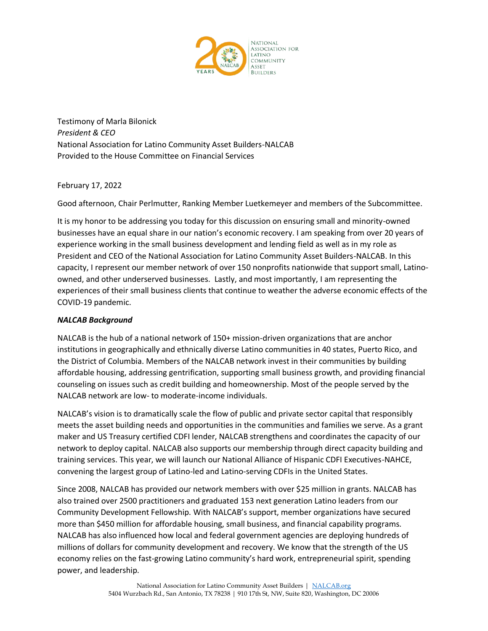

Testimony of Marla Bilonick *President & CEO*  National Association for Latino Community Asset Builders-NALCAB Provided to the House Committee on Financial Services

February 17, 2022

Good afternoon, Chair Perlmutter, Ranking Member Luetkemeyer and members of the Subcommittee.

It is my honor to be addressing you today for this discussion on ensuring small and minority-owned businesses have an equal share in our nation's economic recovery. I am speaking from over 20 years of experience working in the small business development and lending field as well as in my role as President and CEO of the National Association for Latino Community Asset Builders-NALCAB. In this capacity, I represent our member network of over 150 nonprofits nationwide that support small, Latinoowned, and other underserved businesses. Lastly, and most importantly, I am representing the experiences of their small business clients that continue to weather the adverse economic effects of the COVID-19 pandemic.

## *NALCAB Background*

NALCAB is the hub of a national network of 150+ mission-driven organizations that are anchor institutions in geographically and ethnically diverse Latino communities in 40 states, Puerto Rico, and the District of Columbia. Members of the NALCAB network invest in their communities by building affordable housing, addressing gentrification, supporting small business growth, and providing financial counseling on issues such as credit building and homeownership. Most of the people served by the NALCAB network are low- to moderate-income individuals.

NALCAB's vision is to dramatically scale the flow of public and private sector capital that responsibly meets the asset building needs and opportunities in the communities and families we serve. As a grant maker and US Treasury certified CDFI lender, NALCAB strengthens and coordinates the capacity of our network to deploy capital. NALCAB also supports our membership through direct capacity building and training services. This year, we will launch our National Alliance of Hispanic CDFI Executives-NAHCE, convening the largest group of Latino-led and Latino-serving CDFIs in the United States.

Since 2008, NALCAB has provided our network members with over \$25 million in grants. NALCAB has also trained over 2500 practitioners and graduated 153 next generation Latino leaders from our Community Development Fellowship. With NALCAB's support, member organizations have secured more than \$450 million for affordable housing, small business, and financial capability programs. NALCAB has also influenced how local and federal government agencies are deploying hundreds of millions of dollars for community development and recovery. We know that the strength of the US economy relies on the fast-growing Latino community's hard work, entrepreneurial spirit, spending power, and leadership.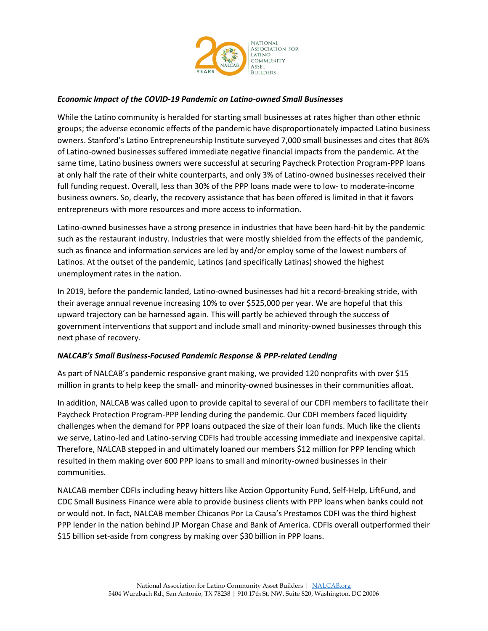

### *Economic Impact of the COVID-19 Pandemic on Latino-owned Small Businesses*

While the Latino community is heralded for starting small businesses at rates higher than other ethnic groups; the adverse economic effects of the pandemic have disproportionately impacted Latino business owners. Stanford's Latino Entrepreneurship Institute surveyed 7,000 small businesses and cites that 86% of Latino-owned businesses suffered immediate negative financial impacts from the pandemic. At the same time, Latino business owners were successful at securing Paycheck Protection Program-PPP loans at only half the rate of their white counterparts, and only 3% of Latino-owned businesses received their full funding request. Overall, less than 30% of the PPP loans made were to low- to moderate-income business owners. So, clearly, the recovery assistance that has been offered is limited in that it favors entrepreneurs with more resources and more access to information.

Latino-owned businesses have a strong presence in industries that have been hard-hit by the pandemic such as the restaurant industry. Industries that were mostly shielded from the effects of the pandemic, such as finance and information services are led by and/or employ some of the lowest numbers of Latinos. At the outset of the pandemic, Latinos (and specifically Latinas) showed the highest unemployment rates in the nation.

In 2019, before the pandemic landed, Latino-owned businesses had hit a record-breaking stride, with their average annual revenue increasing 10% to over \$525,000 per year. We are hopeful that this upward trajectory can be harnessed again. This will partly be achieved through the success of government interventions that support and include small and minority-owned businesses through this next phase of recovery.

### *NALCAB's Small Business-Focused Pandemic Response & PPP-related Lending*

As part of NALCAB's pandemic responsive grant making, we provided 120 nonprofits with over \$15 million in grants to help keep the small- and minority-owned businesses in their communities afloat.

In addition, NALCAB was called upon to provide capital to several of our CDFI members to facilitate their Paycheck Protection Program-PPP lending during the pandemic. Our CDFI members faced liquidity challenges when the demand for PPP loans outpaced the size of their loan funds. Much like the clients we serve, Latino-led and Latino-serving CDFIs had trouble accessing immediate and inexpensive capital. Therefore, NALCAB stepped in and ultimately loaned our members \$12 million for PPP lending which resulted in them making over 600 PPP loans to small and minority-owned businesses in their communities.

NALCAB member CDFIs including heavy hitters like Accion Opportunity Fund, Self-Help, LiftFund, and CDC Small Business Finance were able to provide business clients with PPP loans when banks could not or would not. In fact, NALCAB member Chicanos Por La Causa's Prestamos CDFI was the third highest PPP lender in the nation behind JP Morgan Chase and Bank of America. CDFIs overall outperformed their \$15 billion set-aside from congress by making over \$30 billion in PPP loans.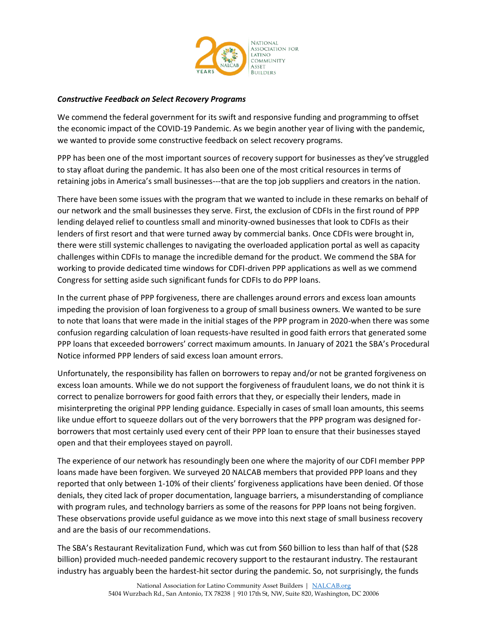

#### *Constructive Feedback on Select Recovery Programs*

We commend the federal government for its swift and responsive funding and programming to offset the economic impact of the COVID-19 Pandemic. As we begin another year of living with the pandemic, we wanted to provide some constructive feedback on select recovery programs.

PPP has been one of the most important sources of recovery support for businesses as they've struggled to stay afloat during the pandemic. It has also been one of the most critical resources in terms of retaining jobs in America's small businesses---that are the top job suppliers and creators in the nation.

There have been some issues with the program that we wanted to include in these remarks on behalf of our network and the small businesses they serve. First, the exclusion of CDFIs in the first round of PPP lending delayed relief to countless small and minority-owned businesses that look to CDFIs as their lenders of first resort and that were turned away by commercial banks. Once CDFIs were brought in, there were still systemic challenges to navigating the overloaded application portal as well as capacity challenges within CDFIs to manage the incredible demand for the product. We commend the SBA for working to provide dedicated time windows for CDFI-driven PPP applications as well as we commend Congress for setting aside such significant funds for CDFIs to do PPP loans.

In the current phase of PPP forgiveness, there are challenges around errors and excess loan amounts impeding the provision of loan forgiveness to a group of small business owners. We wanted to be sure to note that loans that were made in the initial stages of the PPP program in 2020-when there was some confusion regarding calculation of loan requests-have resulted in good faith errors that generated some PPP loans that exceeded borrowers' correct maximum amounts. In January of 2021 the SBA's Procedural Notice informed PPP lenders of said excess loan amount errors.

Unfortunately, the responsibility has fallen on borrowers to repay and/or not be granted forgiveness on excess loan amounts. While we do not support the forgiveness of fraudulent loans, we do not think it is correct to penalize borrowers for good faith errors that they, or especially their lenders, made in misinterpreting the original PPP lending guidance. Especially in cases of small loan amounts, this seems like undue effort to squeeze dollars out of the very borrowers that the PPP program was designed forborrowers that most certainly used every cent of their PPP loan to ensure that their businesses stayed open and that their employees stayed on payroll.

The experience of our network has resoundingly been one where the majority of our CDFI member PPP loans made have been forgiven. We surveyed 20 NALCAB members that provided PPP loans and they reported that only between 1-10% of their clients' forgiveness applications have been denied. Of those denials, they cited lack of proper documentation, language barriers, a misunderstanding of compliance with program rules, and technology barriers as some of the reasons for PPP loans not being forgiven. These observations provide useful guidance as we move into this next stage of small business recovery and are the basis of our recommendations.

The SBA's Restaurant Revitalization Fund, which was cut from \$60 billion to less than half of that (\$28 billion) provided much-needed pandemic recovery support to the restaurant industry. The restaurant industry has arguably been the hardest-hit sector during the pandemic. So, not surprisingly, the funds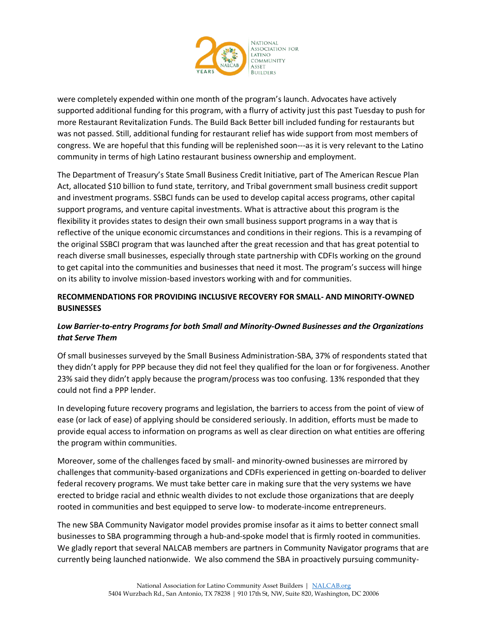

were completely expended within one month of the program's launch. Advocates have actively supported additional funding for this program, with a flurry of activity just this past Tuesday to push for more Restaurant Revitalization Funds. The Build Back Better bill included funding for restaurants but was not passed. Still, additional funding for restaurant relief has wide support from most members of congress. We are hopeful that this funding will be replenished soon---as it is very relevant to the Latino community in terms of high Latino restaurant business ownership and employment.

The Department of Treasury's State Small Business Credit Initiative, part of The American Rescue Plan Act, allocated \$10 billion to fund state, territory, and Tribal government small business credit support and investment programs. SSBCI funds can be used to develop capital access programs, other capital support programs, and venture capital investments. What is attractive about this program is the flexibility it provides states to design their own small business support programs in a way that is reflective of the unique economic circumstances and conditions in their regions. This is a revamping of the original SSBCI program that was launched after the great recession and that has great potential to reach diverse small businesses, especially through state partnership with CDFIs working on the ground to get capital into the communities and businesses that need it most. The program's success will hinge on its ability to involve mission-based investors working with and for communities.

## **RECOMMENDATIONS FOR PROVIDING INCLUSIVE RECOVERY FOR SMALL- AND MINORITY-OWNED BUSINESSES**

# *Low Barrier-to-entry Programs for both Small and Minority-Owned Businesses and the Organizations that Serve Them*

Of small businesses surveyed by the Small Business Administration-SBA, 37% of respondents stated that they didn't apply for PPP because they did not feel they qualified for the loan or for forgiveness. Another 23% said they didn't apply because the program/process was too confusing. 13% responded that they could not find a PPP lender.

In developing future recovery programs and legislation, the barriers to access from the point of view of ease (or lack of ease) of applying should be considered seriously. In addition, efforts must be made to provide equal access to information on programs as well as clear direction on what entities are offering the program within communities.

Moreover, some of the challenges faced by small- and minority-owned businesses are mirrored by challenges that community-based organizations and CDFIs experienced in getting on-boarded to deliver federal recovery programs. We must take better care in making sure that the very systems we have erected to bridge racial and ethnic wealth divides to not exclude those organizations that are deeply rooted in communities and best equipped to serve low- to moderate-income entrepreneurs.

The new SBA Community Navigator model provides promise insofar as it aims to better connect small businesses to SBA programming through a hub-and-spoke model that is firmly rooted in communities. We gladly report that several NALCAB members are partners in Community Navigator programs that are currently being launched nationwide. We also commend the SBA in proactively pursuing community-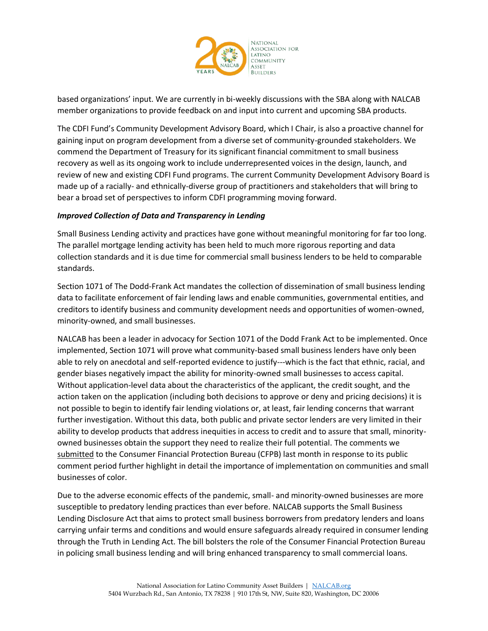

based organizations' input. We are currently in bi-weekly discussions with the SBA along with NALCAB member organizations to provide feedback on and input into current and upcoming SBA products.

The CDFI Fund's Community Development Advisory Board, which I Chair, is also a proactive channel for gaining input on program development from a diverse set of community-grounded stakeholders. We commend the Department of Treasury for its significant financial commitment to small business recovery as well as its ongoing work to include underrepresented voices in the design, launch, and review of new and existing CDFI Fund programs. The current Community Development Advisory Board is made up of a racially- and ethnically-diverse group of practitioners and stakeholders that will bring to bear a broad set of perspectives to inform CDFI programming moving forward.

### *Improved Collection of Data and Transparency in Lending*

Small Business Lending activity and practices have gone without meaningful monitoring for far too long. The parallel mortgage lending activity has been held to much more rigorous reporting and data collection standards and it is due time for commercial small business lenders to be held to comparable standards.

Section 1071 of The Dodd-Frank Act mandates the collection of dissemination of small business lending data to facilitate enforcement of fair lending laws and enable communities, governmental entities, and creditors to identify business and community development needs and opportunities of women-owned, minority-owned, and small businesses.

NALCAB has been a leader in advocacy for Section 1071 of the Dodd Frank Act to be implemented. Once implemented, Section 1071 will prove what community-based small business lenders have only been able to rely on anecdotal and self-reported evidence to justify---which is the fact that ethnic, racial, and gender biases negatively impact the ability for minority-owned small businesses to access capital. Without application-level data about the characteristics of the applicant, the credit sought, and the action taken on the application (including both decisions to approve or deny and pricing decisions) it is not possible to begin to identify fair lending violations or, at least, fair lending concerns that warrant further investigation. Without this data, both public and private sector lenders are very limited in their ability to develop products that address inequities in access to credit and to assure that small, minorityowned businesses obtain the support they need to realize their full potential. The comments we [submitted](https://nalcab.org/wp-content/uploads/2022/01/NALCAB_CFPB-Joint-Letter-1071-comment_01-06-22.pdf) to the Consumer Financial Protection Bureau (CFPB) last month in response to its public comment period further highlight in detail the importance of implementation on communities and small businesses of color.

Due to the adverse economic effects of the pandemic, small- and minority-owned businesses are more susceptible to predatory lending practices than ever before. NALCAB supports the Small Business Lending Disclosure Act that aims to protect small business borrowers from predatory lenders and loans carrying unfair terms and conditions and would ensure safeguards already required in consumer lending through the Truth in Lending Act. The bill bolsters the role of the Consumer Financial Protection Bureau in policing small business lending and will bring enhanced transparency to small commercial loans.